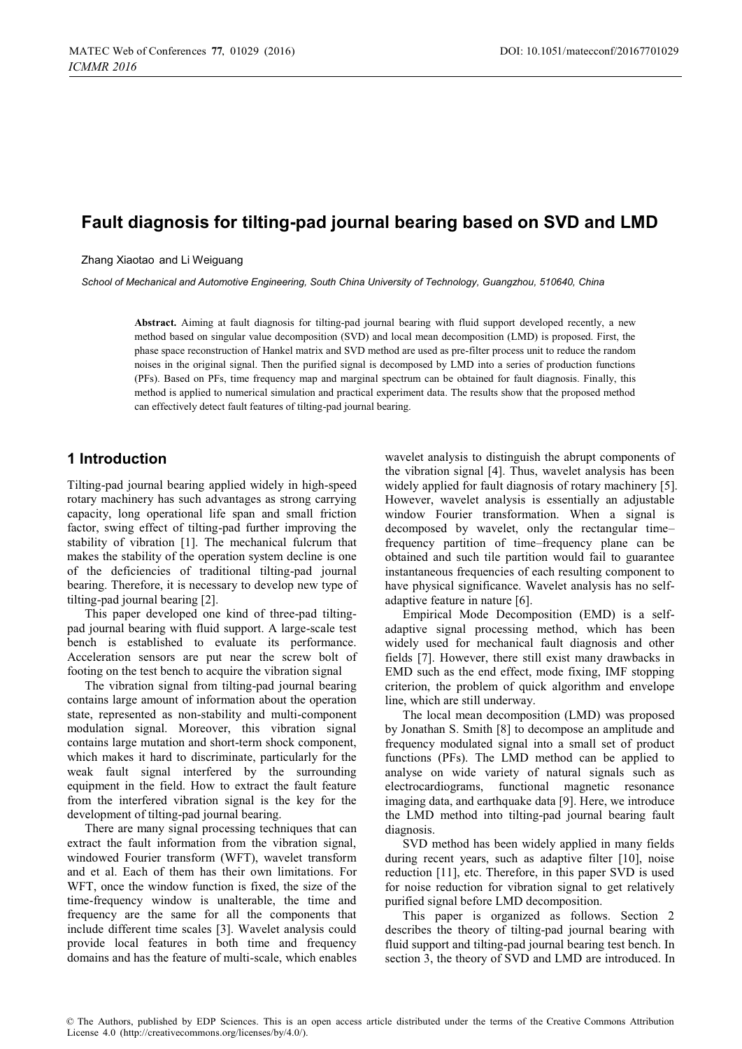# **Fault diagnosis for tilting-pad journal bearing based on SVD and LMD**

Zhang Xiaotao and Li Weiguang

*School of Mechanical and Automotive Engineering, South China University of Technology, Guangzhou, 510640, China* 

**Abstract.** Aiming at fault diagnosis for tilting-pad journal bearing with fluid support developed recently, a new method based on singular value decomposition (SVD) and local mean decomposition (LMD) is proposed. First, the phase space reconstruction of Hankel matrix and SVD method are used as pre-filter process unit to reduce the random noises in the original signal. Then the purified signal is decomposed by LMD into a series of production functions (PFs). Based on PFs, time frequency map and marginal spectrum can be obtained for fault diagnosis. Finally, this method is applied to numerical simulation and practical experiment data. The results show that the proposed method can effectively detect fault features of tilting-pad journal bearing.

# **1 Introduction**

Tilting-pad journal bearing applied widely in high-speed rotary machinery has such advantages as strong carrying capacity, long operational life span and small friction factor, swing effect of tilting-pad further improving the stability of vibration [1]. The mechanical fulcrum that makes the stability of the operation system decline is one of the deficiencies of traditional tilting-pad journal bearing. Therefore, it is necessary to develop new type of tilting-pad journal bearing [2].

This paper developed one kind of three-pad tiltingpad journal bearing with fluid support. A large-scale test bench is established to evaluate its performance. Acceleration sensors are put near the screw bolt of footing on the test bench to acquire the vibration signal

The vibration signal from tilting-pad journal bearing contains large amount of information about the operation state, represented as non-stability and multi-component modulation signal. Moreover, this vibration signal contains large mutation and short-term shock component, which makes it hard to discriminate, particularly for the weak fault signal interfered by the surrounding equipment in the field. How to extract the fault feature from the interfered vibration signal is the key for the development of tilting-pad journal bearing.

There are many signal processing techniques that can extract the fault information from the vibration signal, windowed Fourier transform (WFT), wavelet transform and et al. Each of them has their own limitations. For WFT, once the window function is fixed, the size of the time-frequency window is unalterable, the time and frequency are the same for all the components that include different time scales [3]. Wavelet analysis could provide local features in both time and frequency domains and has the feature of multi-scale, which enables wavelet analysis to distinguish the abrupt components of the vibration signal [4]. Thus, wavelet analysis has been widely applied for fault diagnosis of rotary machinery [5]. However, wavelet analysis is essentially an adjustable window Fourier transformation. When a signal is decomposed by wavelet, only the rectangular time– frequency partition of time–frequency plane can be obtained and such tile partition would fail to guarantee instantaneous frequencies of each resulting component to have physical significance. Wavelet analysis has no selfadaptive feature in nature [6].

Empirical Mode Decomposition (EMD) is a selfadaptive signal processing method, which has been widely used for mechanical fault diagnosis and other fields [7]. However, there still exist many drawbacks in EMD such as the end effect, mode fixing, IMF stopping criterion, the problem of quick algorithm and envelope line, which are still underway.

The local mean decomposition (LMD) was proposed by Jonathan S. Smith [8] to decompose an amplitude and frequency modulated signal into a small set of product functions (PFs). The LMD method can be applied to analyse on wide variety of natural signals such as electrocardiograms, functional magnetic resonance imaging data, and earthquake data [9]. Here, we introduce the LMD method into tilting-pad journal bearing fault diagnosis.

SVD method has been widely applied in many fields during recent years, such as adaptive filter [10], noise reduction [11], etc. Therefore, in this paper SVD is used for noise reduction for vibration signal to get relatively purified signal before LMD decomposition.

This paper is organized as follows. Section 2 describes the theory of tilting-pad journal bearing with fluid support and tilting-pad journal bearing test bench. In section 3, the theory of SVD and LMD are introduced. In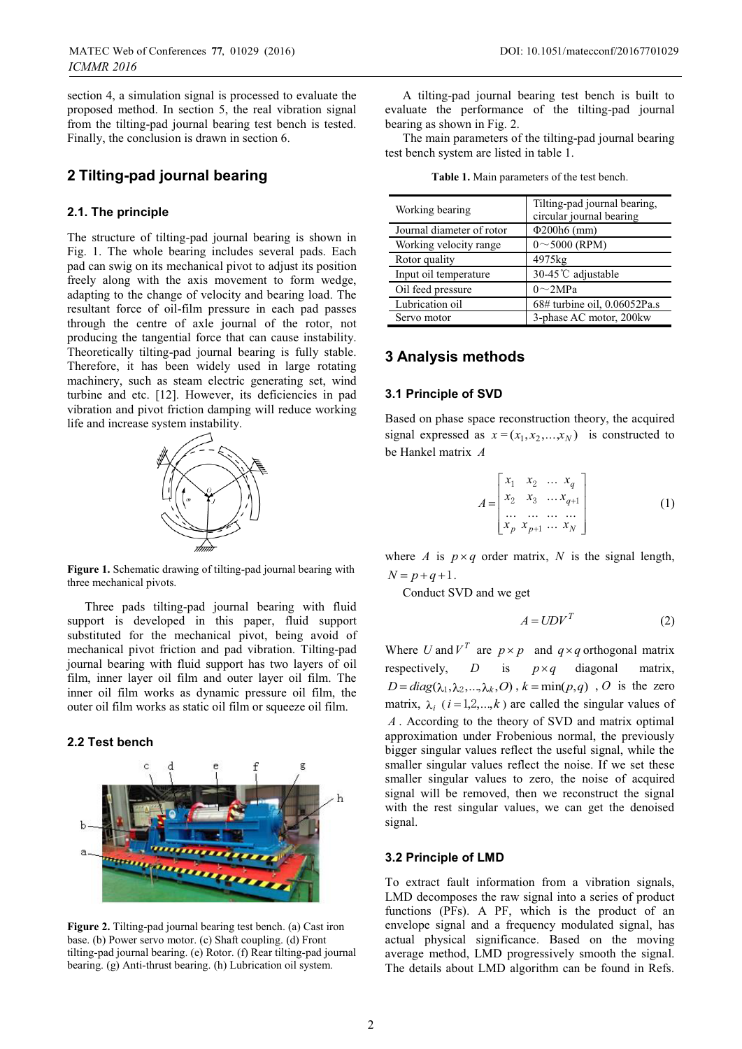section 4, a simulation signal is processed to evaluate the proposed method. In section 5, the real vibration signal from the tilting-pad journal bearing test bench is tested. Finally, the conclusion is drawn in section 6.

### **2 Tilting-pad journal bearing**

#### **2.1. The principle**

The structure of tilting-pad journal bearing is shown in Fig. 1. The whole bearing includes several pads. Each pad can swig on its mechanical pivot to adjust its position freely along with the axis movement to form wedge, adapting to the change of velocity and bearing load. The resultant force of oil-film pressure in each pad passes through the centre of axle journal of the rotor, not producing the tangential force that can cause instability. Theoretically tilting-pad journal bearing is fully stable. Therefore, it has been widely used in large rotating machinery, such as steam electric generating set, wind turbine and etc. [12]. However, its deficiencies in pad vibration and pivot friction damping will reduce working life and increase system instability.



**Figure 1.** Schematic drawing of tilting-pad journal bearing with three mechanical pivots.

Three pads tilting-pad journal bearing with fluid support is developed in this paper, fluid support substituted for the mechanical pivot, being avoid of mechanical pivot friction and pad vibration. Tilting-pad journal bearing with fluid support has two layers of oil film, inner layer oil film and outer layer oil film. The inner oil film works as dynamic pressure oil film, the outer oil film works as static oil film or squeeze oil film.

#### **2.2 Test bench**



**Figure 2.** Tilting-pad journal bearing test bench. (a) Cast iron base. (b) Power servo motor. (c) Shaft coupling. (d) Front tilting-pad journal bearing. (e) Rotor. (f) Rear tilting-pad journal bearing. (g) Anti-thrust bearing. (h) Lubrication oil system.

A tilting-pad journal bearing test bench is built to evaluate the performance of the tilting-pad journal bearing as shown in Fig. 2.

The main parameters of the tilting-pad journal bearing test bench system are listed in table 1.

**Table 1.** Main parameters of the test bench.

| Working bearing           | Tilting-pad journal bearing,<br>circular journal bearing |  |
|---------------------------|----------------------------------------------------------|--|
| Journal diameter of rotor | $\Phi$ 200h6 (mm)                                        |  |
| Working velocity range    | $0 \sim 5000$ (RPM)                                      |  |
| Rotor quality             | 4975kg                                                   |  |
| Input oil temperature     | 30-45℃ adjustable                                        |  |
| Oil feed pressure         | $0\sim$ 2MPa                                             |  |
| Lubrication oil           | 68# turbine oil, 0.06052Pa.s                             |  |
| Servo motor               | 3-phase AC motor, 200kw                                  |  |

## **3 Analysis methods**

#### **3.1 Principle of SVD**

Based on phase space reconstruction theory, the acquired signal expressed as  $x = (x_1, x_2, \dots, x_N)$  is constructed to be Hankel matrix *A*

$$
A = \begin{bmatrix} x_1 & x_2 & \dots & x_q \\ x_2 & x_3 & \dots & x_{q+1} \\ \dots & \dots & \dots & \dots \\ x_p & x_{p+1} & \dots & x_N \end{bmatrix}
$$
 (1)

where *A* is  $p \times q$  order matrix, *N* is the signal length,  $N = p + q + 1$ .

Conduct SVD and we get

$$
A = UDV^T \tag{2}
$$

Where *U* and  $V^T$  are  $p \times p$  and  $q \times q$  orthogonal matrix respectively, *D* is  $p \times q$  diagonal matrix,  $D = diag(\lambda_1, \lambda_2, ..., \lambda_k, O)$ ,  $k = min(p, q)$ , *O* is the zero matrix,  $\lambda_i$  ( $i = 1, 2, ..., k$ ) are called the singular values of *A* . According to the theory of SVD and matrix optimal approximation under Frobenious normal, the previously bigger singular values reflect the useful signal, while the smaller singular values reflect the noise. If we set these smaller singular values to zero, the noise of acquired signal will be removed, then we reconstruct the signal with the rest singular values, we can get the denoised signal.

#### **3.2 Principle of LMD**

To extract fault information from a vibration signals, LMD decomposes the raw signal into a series of product functions (PFs). A PF, which is the product of an envelope signal and a frequency modulated signal, has actual physical significance. Based on the moving average method, LMD progressively smooth the signal. The details about LMD algorithm can be found in Refs.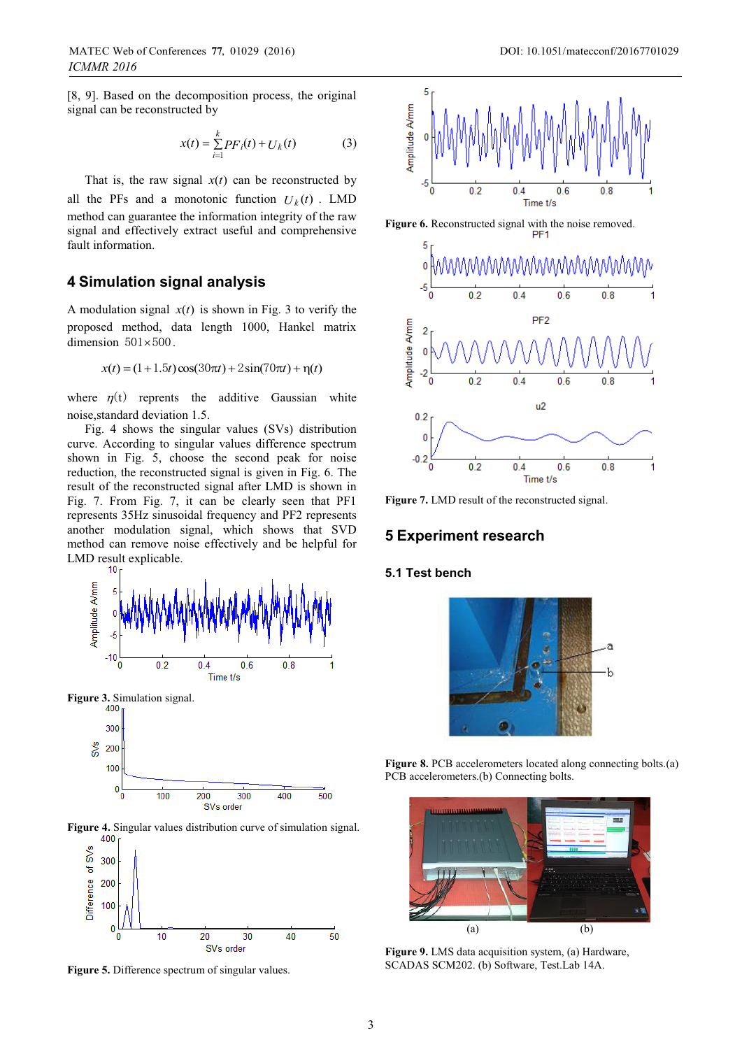[8, 9]. Based on the decomposition process, the original signal can be reconstructed by

$$
x(t) = \sum_{i=1}^{k} PF_i(t) + U_k(t)
$$
 (3)

That is, the raw signal  $x(t)$  can be reconstructed by all the PFs and a monotonic function  $U_k(t)$ . LMD method can guarantee the information integrity of the raw signal and effectively extract useful and comprehensive fault information.

### **4 Simulation signal analysis**

A modulation signal  $x(t)$  is shown in Fig. 3 to verify the proposed method, data length 1000, Hankel matrix dimension  $501 \times 500$ .

$$
x(t) = (1+1.5t)\cos(30\pi t) + 2\sin(70\pi t) + \eta(t)
$$

where  $\eta(t)$  reprents the additive Gaussian white noise,standard deviation 1.5.

Fig. 4 shows the singular values (SVs) distribution curve. According to singular values difference spectrum shown in Fig. 5, choose the second peak for noise reduction, the reconstructed signal is given in Fig. 6. The result of the reconstructed signal after LMD is shown in Fig. 7. From Fig. 7, it can be clearly seen that PF1 represents 35Hz sinusoidal frequency and PF2 represents another modulation signal, which shows that SVD method can remove noise effectively and be helpful for LMD result explicable.









**Figure 5.** Difference spectrum of singular values.







**Figure 7.** LMD result of the reconstructed signal.

#### **5 Experiment research**

#### **5.1 Test bench**



**Figure 8.** PCB accelerometers located along connecting bolts.(a) PCB accelerometers.(b) Connecting bolts.



**Figure 9.** LMS data acquisition system, (a) Hardware, SCADAS SCM202. (b) Software, Test.Lab 14A.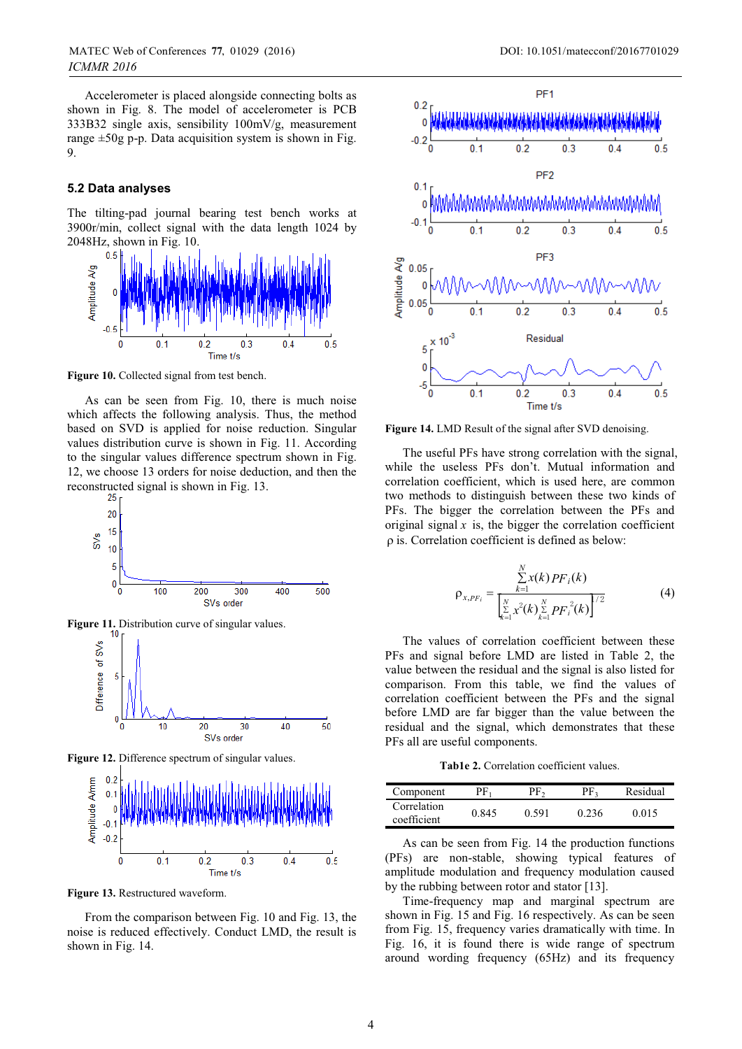Accelerometer is placed alongside connecting bolts as shown in Fig. 8. The model of accelerometer is PCB 333B32 single axis, sensibility 100mV/g, measurement range  $\pm 50$ g p-p. Data acquisition system is shown in Fig. 9.

#### **5.2 Data analyses**

The tilting-pad journal bearing test bench works at 3900r/min, collect signal with the data length 1024 by 2048Hz, shown in Fig. 10.



**Figure 10.** Collected signal from test bench.

As can be seen from Fig. 10, there is much noise which affects the following analysis. Thus, the method based on SVD is applied for noise reduction. Singular values distribution curve is shown in Fig. 11. According to the singular values difference spectrum shown in Fig. 12, we choose 13 orders for noise deduction, and then the reconstructed signal is shown in Fig. 13.<br> $^{25}$ 



**Figure 12.** Difference spectrum of singular values.



**Figure 13.** Restructured waveform.

From the comparison between Fig. 10 and Fig. 13, the noise is reduced effectively. Conduct LMD, the result is shown in Fig. 14.



Figure 14. LMD Result of the signal after SVD denoising.

The useful PFs have strong correlation with the signal, while the useless PFs don't. Mutual information and correlation coefficient, which is used here, are common two methods to distinguish between these two kinds of PFs. The bigger the correlation between the PFs and original signal  $x$  is, the bigger the correlation coefficient  $\rho$  is. Correlation coefficient is defined as below:

$$
\rho_{x,PF_i} = \frac{\sum_{k=1}^{N} x(k) PF_i(k)}{\left[\sum_{k=1}^{N} x^2(k) \sum_{k=1}^{N} PF_i^2(k)\right]^{1/2}}
$$
(4)

The values of correlation coefficient between these PFs and signal before LMD are listed in Table 2, the value between the residual and the signal is also listed for comparison. From this table, we find the values of correlation coefficient between the PFs and the signal before LMD are far bigger than the value between the residual and the signal, which demonstrates that these PFs all are useful components.

**Tab1e 2.** Correlation coefficient values.

| Component                  | $\mathbf{p}_{\mathrm{F}_1}$ | $v_{\text{F}_2}$ | PF <sub>2</sub> | Residual |
|----------------------------|-----------------------------|------------------|-----------------|----------|
| Correlation<br>coefficient | 0.845                       | 0.591            | 0.236           | 0.015    |

As can be seen from Fig. 14 the production functions (PFs) are non-stable, showing typical features of amplitude modulation and frequency modulation caused by the rubbing between rotor and stator [13].

Time-frequency map and marginal spectrum are shown in Fig. 15 and Fig. 16 respectively. As can be seen from Fig. 15, frequency varies dramatically with time. In Fig. 16, it is found there is wide range of spectrum around wording frequency (65Hz) and its frequency